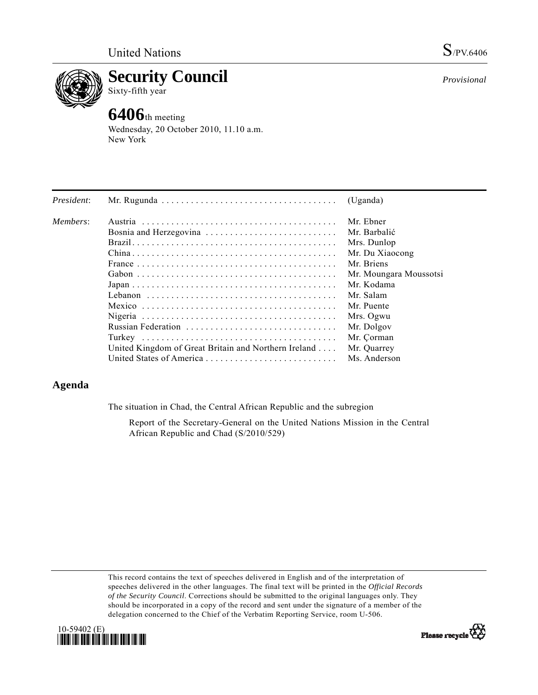*Provisional*



**Security Council** 

Sixty-fifth year

# **6406**th meeting

Wednesday, 20 October 2010, 11.10 a.m. New York

| President: |                                                                                                               | (Uganda)               |
|------------|---------------------------------------------------------------------------------------------------------------|------------------------|
| Members:   |                                                                                                               | Mr. Ebner              |
|            | Bosnia and Herzegovina                                                                                        | Mr. Barbalić           |
|            |                                                                                                               | Mrs. Dunlop            |
|            |                                                                                                               | Mr. Du Xiaocong        |
|            | France $\ldots \ldots \ldots \ldots \ldots \ldots \ldots \ldots \ldots \ldots \ldots \ldots$                  | Mr. Briens             |
|            |                                                                                                               | Mr. Moungara Moussotsi |
|            | $Japan \dots \dots \dots \dots \dots \dots \dots \dots \dots \dots \dots \dots \dots \dots \dots \dots \dots$ | Mr. Kodama             |
|            |                                                                                                               | Mr. Salam              |
|            |                                                                                                               | Mr. Puente             |
|            |                                                                                                               | Mrs. Ogwu              |
|            | Russian Federation                                                                                            | Mr. Dolgov             |
|            |                                                                                                               | Mr. Çorman             |
|            | United Kingdom of Great Britain and Northern Ireland                                                          | Mr. Quarrey            |
|            |                                                                                                               | Ms. Anderson           |

# **Agenda**

The situation in Chad, the Central African Republic and the subregion

 Report of the Secretary-General on the United Nations Mission in the Central African Republic and Chad (S/2010/529)

This record contains the text of speeches delivered in English and of the interpretation of speeches delivered in the other languages. The final text will be printed in the *Official Records of the Security Council*. Corrections should be submitted to the original languages only. They should be incorporated in a copy of the record and sent under the signature of a member of the delegation concerned to the Chief of the Verbatim Reporting Service, room U-506.



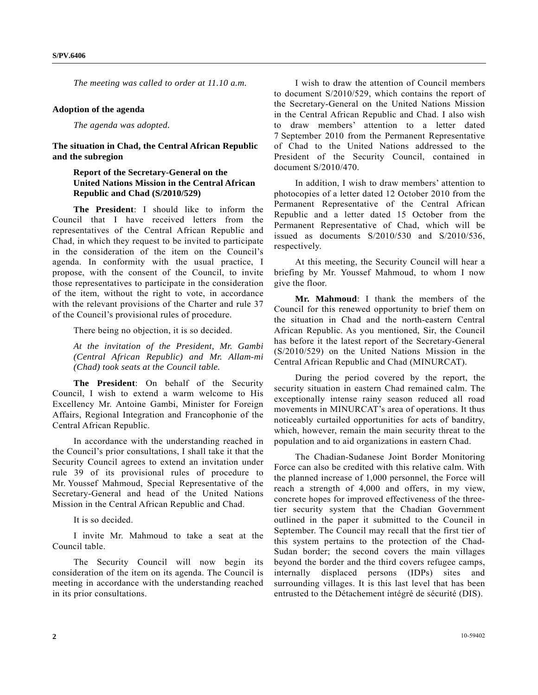*The meeting was called to order at 11.10 a.m.* 

#### **Adoption of the agenda**

*The agenda was adopted.* 

**The situation in Chad, the Central African Republic and the subregion** 

## **Report of the Secretary-General on the United Nations Mission in the Central African Republic and Chad (S/2010/529)**

**The President**: I should like to inform the Council that I have received letters from the representatives of the Central African Republic and Chad, in which they request to be invited to participate in the consideration of the item on the Council's agenda. In conformity with the usual practice, I propose, with the consent of the Council, to invite those representatives to participate in the consideration of the item, without the right to vote, in accordance with the relevant provisions of the Charter and rule 37 of the Council's provisional rules of procedure.

There being no objection, it is so decided.

*At the invitation of the President, Mr. Gambi (Central African Republic) and Mr. Allam-mi (Chad) took seats at the Council table.*

**The President**: On behalf of the Security Council, I wish to extend a warm welcome to His Excellency Mr. Antoine Gambi, Minister for Foreign Affairs, Regional Integration and Francophonie of the Central African Republic.

 In accordance with the understanding reached in the Council's prior consultations, I shall take it that the Security Council agrees to extend an invitation under rule 39 of its provisional rules of procedure to Mr. Youssef Mahmoud, Special Representative of the Secretary-General and head of the United Nations Mission in the Central African Republic and Chad.

It is so decided.

 I invite Mr. Mahmoud to take a seat at the Council table.

 The Security Council will now begin its consideration of the item on its agenda. The Council is meeting in accordance with the understanding reached in its prior consultations.

 I wish to draw the attention of Council members to document S/2010/529, which contains the report of the Secretary-General on the United Nations Mission in the Central African Republic and Chad. I also wish to draw members' attention to a letter dated 7 September 2010 from the Permanent Representative of Chad to the United Nations addressed to the President of the Security Council, contained in document S/2010/470.

 In addition, I wish to draw members' attention to photocopies of a letter dated 12 October 2010 from the Permanent Representative of the Central African Republic and a letter dated 15 October from the Permanent Representative of Chad, which will be issued as documents S/2010/530 and S/2010/536, respectively.

 At this meeting, the Security Council will hear a briefing by Mr. Youssef Mahmoud, to whom I now give the floor.

**Mr. Mahmoud**: I thank the members of the Council for this renewed opportunity to brief them on the situation in Chad and the north-eastern Central African Republic. As you mentioned, Sir, the Council has before it the latest report of the Secretary-General (S/2010/529) on the United Nations Mission in the Central African Republic and Chad (MINURCAT).

 During the period covered by the report, the security situation in eastern Chad remained calm. The exceptionally intense rainy season reduced all road movements in MINURCAT's area of operations. It thus noticeably curtailed opportunities for acts of banditry, which, however, remain the main security threat to the population and to aid organizations in eastern Chad.

 The Chadian-Sudanese Joint Border Monitoring Force can also be credited with this relative calm. With the planned increase of 1,000 personnel, the Force will reach a strength of 4,000 and offers, in my view, concrete hopes for improved effectiveness of the threetier security system that the Chadian Government outlined in the paper it submitted to the Council in September. The Council may recall that the first tier of this system pertains to the protection of the Chad-Sudan border; the second covers the main villages beyond the border and the third covers refugee camps, internally displaced persons (IDPs) sites and surrounding villages. It is this last level that has been entrusted to the Détachement intégré de sécurité (DIS).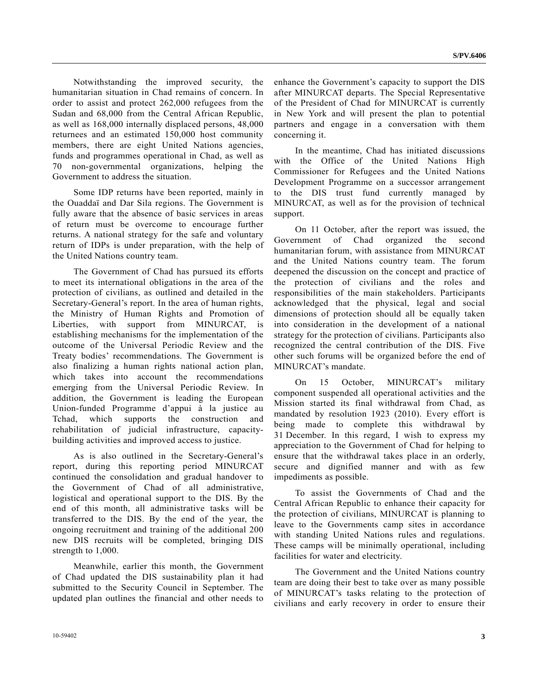Notwithstanding the improved security, the humanitarian situation in Chad remains of concern. In order to assist and protect 262,000 refugees from the Sudan and 68,000 from the Central African Republic, as well as 168,000 internally displaced persons, 48,000 returnees and an estimated 150,000 host community members, there are eight United Nations agencies, funds and programmes operational in Chad, as well as 70 non-governmental organizations, helping the Government to address the situation.

 Some IDP returns have been reported, mainly in the Ouaddaï and Dar Sila regions. The Government is fully aware that the absence of basic services in areas of return must be overcome to encourage further returns. A national strategy for the safe and voluntary return of IDPs is under preparation, with the help of the United Nations country team.

 The Government of Chad has pursued its efforts to meet its international obligations in the area of the protection of civilians, as outlined and detailed in the Secretary-General's report. In the area of human rights, the Ministry of Human Rights and Promotion of Liberties, with support from MINURCAT, is establishing mechanisms for the implementation of the outcome of the Universal Periodic Review and the Treaty bodies' recommendations. The Government is also finalizing a human rights national action plan, which takes into account the recommendations emerging from the Universal Periodic Review. In addition, the Government is leading the European Union-funded Programme d'appui à la justice au Tchad, which supports the construction and rehabilitation of judicial infrastructure, capacitybuilding activities and improved access to justice.

 As is also outlined in the Secretary-General's report, during this reporting period MINURCAT continued the consolidation and gradual handover to the Government of Chad of all administrative, logistical and operational support to the DIS. By the end of this month, all administrative tasks will be transferred to the DIS. By the end of the year, the ongoing recruitment and training of the additional 200 new DIS recruits will be completed, bringing DIS strength to 1,000.

 Meanwhile, earlier this month, the Government of Chad updated the DIS sustainability plan it had submitted to the Security Council in September. The updated plan outlines the financial and other needs to

enhance the Government's capacity to support the DIS after MINURCAT departs. The Special Representative of the President of Chad for MINURCAT is currently in New York and will present the plan to potential partners and engage in a conversation with them concerning it.

 In the meantime, Chad has initiated discussions with the Office of the United Nations High Commissioner for Refugees and the United Nations Development Programme on a successor arrangement to the DIS trust fund currently managed by MINURCAT, as well as for the provision of technical support.

 On 11 October, after the report was issued, the Government of Chad organized the second humanitarian forum, with assistance from MINURCAT and the United Nations country team. The forum deepened the discussion on the concept and practice of the protection of civilians and the roles and responsibilities of the main stakeholders. Participants acknowledged that the physical, legal and social dimensions of protection should all be equally taken into consideration in the development of a national strategy for the protection of civilians. Participants also recognized the central contribution of the DIS. Five other such forums will be organized before the end of MINURCAT's mandate.

 On 15 October, MINURCAT's military component suspended all operational activities and the Mission started its final withdrawal from Chad, as mandated by resolution 1923 (2010). Every effort is being made to complete this withdrawal by 31 December. In this regard, I wish to express my appreciation to the Government of Chad for helping to ensure that the withdrawal takes place in an orderly, secure and dignified manner and with as few impediments as possible.

 To assist the Governments of Chad and the Central African Republic to enhance their capacity for the protection of civilians, MINURCAT is planning to leave to the Governments camp sites in accordance with standing United Nations rules and regulations. These camps will be minimally operational, including facilities for water and electricity.

 The Government and the United Nations country team are doing their best to take over as many possible of MINURCAT's tasks relating to the protection of civilians and early recovery in order to ensure their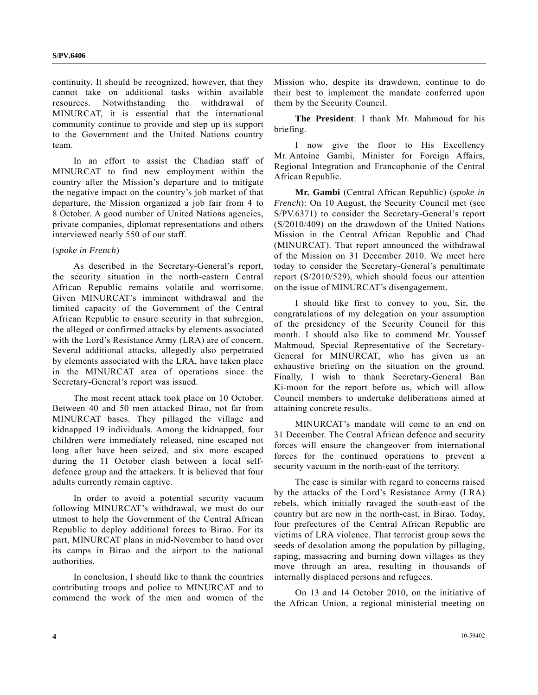continuity. It should be recognized, however, that they cannot take on additional tasks within available resources. Notwithstanding the withdrawal of MINURCAT, it is essential that the international community continue to provide and step up its support to the Government and the United Nations country team.

 In an effort to assist the Chadian staff of MINURCAT to find new employment within the country after the Mission's departure and to mitigate the negative impact on the country's job market of that departure, the Mission organized a job fair from 4 to 8 October. A good number of United Nations agencies, private companies, diplomat representations and others interviewed nearly 550 of our staff.

### (*spoke in French*)

 As described in the Secretary-General's report, the security situation in the north-eastern Central African Republic remains volatile and worrisome. Given MINURCAT's imminent withdrawal and the limited capacity of the Government of the Central African Republic to ensure security in that subregion, the alleged or confirmed attacks by elements associated with the Lord's Resistance Army (LRA) are of concern. Several additional attacks, allegedly also perpetrated by elements associated with the LRA, have taken place in the MINURCAT area of operations since the Secretary-General's report was issued.

 The most recent attack took place on 10 October. Between 40 and 50 men attacked Birao, not far from MINURCAT bases. They pillaged the village and kidnapped 19 individuals. Among the kidnapped, four children were immediately released, nine escaped not long after have been seized, and six more escaped during the 11 October clash between a local selfdefence group and the attackers. It is believed that four adults currently remain captive.

 In order to avoid a potential security vacuum following MINURCAT's withdrawal, we must do our utmost to help the Government of the Central African Republic to deploy additional forces to Birao. For its part, MINURCAT plans in mid-November to hand over its camps in Birao and the airport to the national authorities.

 In conclusion, I should like to thank the countries contributing troops and police to MINURCAT and to commend the work of the men and women of the Mission who, despite its drawdown, continue to do their best to implement the mandate conferred upon them by the Security Council.

**The President**: I thank Mr. Mahmoud for his briefing.

 I now give the floor to His Excellency Mr. Antoine Gambi, Minister for Foreign Affairs, Regional Integration and Francophonie of the Central African Republic.

**Mr. Gambi** (Central African Republic) (*spoke in French*): On 10 August, the Security Council met (see S/PV.6371) to consider the Secretary-General's report (S/2010/409) on the drawdown of the United Nations Mission in the Central African Republic and Chad (MINURCAT). That report announced the withdrawal of the Mission on 31 December 2010. We meet here today to consider the Secretary-General's penultimate report (S/2010/529), which should focus our attention on the issue of MINURCAT's disengagement.

 I should like first to convey to you, Sir, the congratulations of my delegation on your assumption of the presidency of the Security Council for this month. I should also like to commend Mr. Youssef Mahmoud, Special Representative of the Secretary-General for MINURCAT, who has given us an exhaustive briefing on the situation on the ground. Finally, I wish to thank Secretary-General Ban Ki-moon for the report before us, which will allow Council members to undertake deliberations aimed at attaining concrete results.

 MINURCAT's mandate will come to an end on 31 December. The Central African defence and security forces will ensure the changeover from international forces for the continued operations to prevent a security vacuum in the north-east of the territory.

 The case is similar with regard to concerns raised by the attacks of the Lord's Resistance Army (LRA) rebels, which initially ravaged the south-east of the country but are now in the north-east, in Birao. Today, four prefectures of the Central African Republic are victims of LRA violence. That terrorist group sows the seeds of desolation among the population by pillaging, raping, massacring and burning down villages as they move through an area, resulting in thousands of internally displaced persons and refugees.

 On 13 and 14 October 2010, on the initiative of the African Union, a regional ministerial meeting on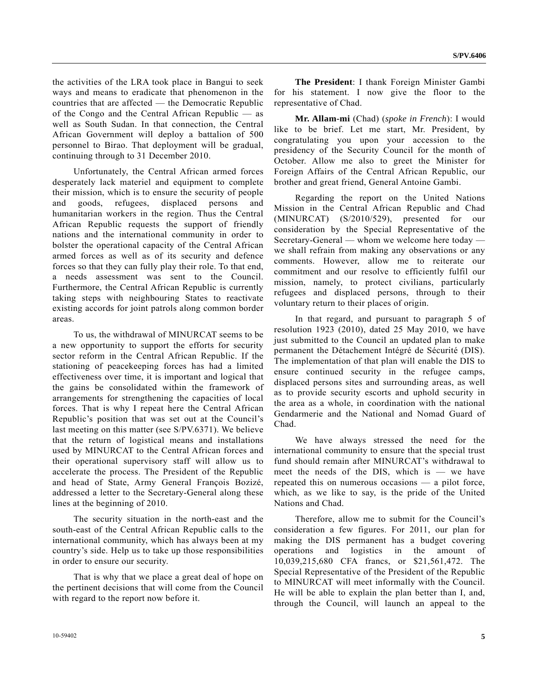the activities of the LRA took place in Bangui to seek ways and means to eradicate that phenomenon in the countries that are affected — the Democratic Republic of the Congo and the Central African Republic — as well as South Sudan. In that connection, the Central African Government will deploy a battalion of 500 personnel to Birao. That deployment will be gradual, continuing through to 31 December 2010.

 Unfortunately, the Central African armed forces desperately lack materiel and equipment to complete their mission, which is to ensure the security of people and goods, refugees, displaced persons and humanitarian workers in the region. Thus the Central African Republic requests the support of friendly nations and the international community in order to bolster the operational capacity of the Central African armed forces as well as of its security and defence forces so that they can fully play their role. To that end, a needs assessment was sent to the Council. Furthermore, the Central African Republic is currently taking steps with neighbouring States to reactivate existing accords for joint patrols along common border areas.

 To us, the withdrawal of MINURCAT seems to be a new opportunity to support the efforts for security sector reform in the Central African Republic. If the stationing of peacekeeping forces has had a limited effectiveness over time, it is important and logical that the gains be consolidated within the framework of arrangements for strengthening the capacities of local forces. That is why I repeat here the Central African Republic's position that was set out at the Council's last meeting on this matter (see S/PV.6371). We believe that the return of logistical means and installations used by MINURCAT to the Central African forces and their operational supervisory staff will allow us to accelerate the process. The President of the Republic and head of State, Army General François Bozizé, addressed a letter to the Secretary-General along these lines at the beginning of 2010.

 The security situation in the north-east and the south-east of the Central African Republic calls to the international community, which has always been at my country's side. Help us to take up those responsibilities in order to ensure our security.

 That is why that we place a great deal of hope on the pertinent decisions that will come from the Council with regard to the report now before it.

**The President**: I thank Foreign Minister Gambi for his statement. I now give the floor to the representative of Chad.

**Mr. Allam-mi** (Chad) (*spoke in French*): I would like to be brief. Let me start, Mr. President, by congratulating you upon your accession to the presidency of the Security Council for the month of October. Allow me also to greet the Minister for Foreign Affairs of the Central African Republic, our brother and great friend, General Antoine Gambi.

 Regarding the report on the United Nations Mission in the Central African Republic and Chad (MINURCAT) (S/2010/529), presented for our consideration by the Special Representative of the Secretary-General — whom we welcome here today we shall refrain from making any observations or any comments. However, allow me to reiterate our commitment and our resolve to efficiently fulfil our mission, namely, to protect civilians, particularly refugees and displaced persons, through to their voluntary return to their places of origin.

 In that regard, and pursuant to paragraph 5 of resolution 1923 (2010), dated 25 May 2010, we have just submitted to the Council an updated plan to make permanent the Détachement Intégré de Sécurité (DIS). The implementation of that plan will enable the DIS to ensure continued security in the refugee camps, displaced persons sites and surrounding areas, as well as to provide security escorts and uphold security in the area as a whole, in coordination with the national Gendarmerie and the National and Nomad Guard of Chad.

 We have always stressed the need for the international community to ensure that the special trust fund should remain after MINURCAT's withdrawal to meet the needs of the DIS, which is — we have repeated this on numerous occasions — a pilot force, which, as we like to say, is the pride of the United Nations and Chad.

 Therefore, allow me to submit for the Council's consideration a few figures. For 2011, our plan for making the DIS permanent has a budget covering operations and logistics in the amount of 10,039,215,680 CFA francs, or \$21,561,472. The Special Representative of the President of the Republic to MINURCAT will meet informally with the Council. He will be able to explain the plan better than I, and, through the Council, will launch an appeal to the